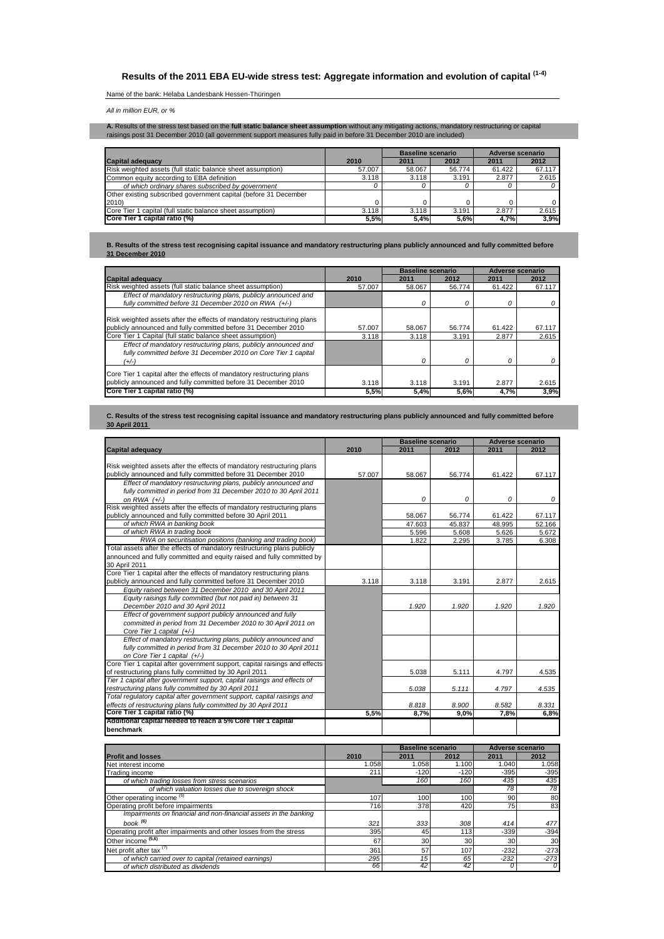# **Results of the 2011 EBA EU-wide stress test: Aggregate information and evolution of capital (1-4)**

## Name of the bank: Helaba Landesbank Hessen-Thüringen

*All in million EUR, or %*

**A.** Results of the stress test based on the **full static balance sheet assumption** without any mitigating actions, mandatory restructuring or capital<br>raisings post 31 December 2010 (all government support measures fully p

|                                                                  |        | <b>Baseline scenario</b> |        | Adverse scenario |        |
|------------------------------------------------------------------|--------|--------------------------|--------|------------------|--------|
| <b>Capital adequacy</b>                                          | 2010   | 2011                     | 2012   | 2011             | 2012   |
| Risk weighted assets (full static balance sheet assumption)      | 57.007 | 58.067                   | 56.774 | 61.422           | 67.117 |
| Common equity according to EBA definition                        | 3.118  | 3.118                    | 3.191  | 2.877            | 2.615  |
| of which ordinary shares subscribed by government                |        |                          |        |                  |        |
| Other existing subscribed government capital (before 31 December |        |                          |        |                  |        |
| 2010)                                                            |        |                          |        |                  |        |
| Core Tier 1 capital (full static balance sheet assumption)       | 3.118  | 3.118                    | 3.191  | 2.877            | 2.615  |
| Core Tier 1 capital ratio (%)                                    | 5.5%   | 5.4%                     | 5.6%   | 4.7%             | 3,9%   |

**B. Results of the stress test recognising capital issuance and mandatory restructuring plans publicly announced and fully committed before 31 December 2010**

|                                                                                                                                            |        | <b>Baseline scenario</b> |          | Adverse scenario |        |
|--------------------------------------------------------------------------------------------------------------------------------------------|--------|--------------------------|----------|------------------|--------|
| <b>Capital adequacy</b>                                                                                                                    | 2010   | 2011                     | 2012     | 2011             | 2012   |
| Risk weighted assets (full static balance sheet assumption)                                                                                | 57.007 | 58.067                   | 56.774   | 61.422           | 67.117 |
| Effect of mandatory restructuring plans, publicly announced and<br>fully committed before 31 December 2010 on RWA (+/-)                    |        | 0                        |          | 0                |        |
| Risk weighted assets after the effects of mandatory restructuring plans<br>publicly announced and fully committed before 31 December 2010  | 57.007 | 58.067                   | 56.774   | 61.422           | 67.117 |
| Core Tier 1 Capital (full static balance sheet assumption)                                                                                 | 3.118  | 3.118                    | 3.191    | 2.877            | 2.615  |
| Effect of mandatory restructuring plans, publicly announced and<br>fully committed before 31 December 2010 on Core Tier 1 capital<br>(+/-) |        | 0                        | $\Omega$ | Ω                |        |
| Core Tier 1 capital after the effects of mandatory restructuring plans<br>publicly announced and fully committed before 31 December 2010   | 3.118  | 3.118                    | 3.191    | 2.877            | 2.615  |
| Core Tier 1 capital ratio (%)                                                                                                              | 5,5%   | 5.4%                     | 5,6%     | 4,7%             | 3,9%   |

#### **C. Results of the stress test recognising capital issuance and mandatory restructuring plans publicly announced and fully committed before 30 April 2011**

|                                                                                             |        | <b>Baseline scenario</b> |                  | <b>Adverse scenario</b> |                  |
|---------------------------------------------------------------------------------------------|--------|--------------------------|------------------|-------------------------|------------------|
| <b>Capital adequacy</b>                                                                     | 2010   | 2011                     | 2012             | 2011                    | 2012             |
|                                                                                             |        |                          |                  |                         |                  |
| Risk weighted assets after the effects of mandatory restructuring plans                     |        |                          |                  |                         |                  |
| publicly announced and fully committed before 31 December 2010                              | 57.007 | 58.067                   | 56.774           | 61.422                  | 67.117           |
| Effect of mandatory restructuring plans, publicly announced and                             |        |                          |                  |                         |                  |
| fully committed in period from 31 December 2010 to 30 April 2011                            |        |                          |                  |                         |                  |
| on RWA $(+/-)$                                                                              |        | 0                        | 0                | 0                       | 0                |
| Risk weighted assets after the effects of mandatory restructuring plans                     |        |                          |                  |                         |                  |
| publicly announced and fully committed before 30 April 2011<br>of which RWA in banking book |        | 58.067<br>47.603         | 56.774<br>45.837 | 61.422<br>48.995        | 67.117<br>52.166 |
| of which RWA in trading book                                                                |        | 5.596                    | 5.608            | 5.626                   | 5.672            |
| RWA on securitisation positions (banking and trading book)                                  |        | 1.822                    | 2.295            | 3.785                   | 6.308            |
| Total assets after the effects of mandatory restructuring plans publicly                    |        |                          |                  |                         |                  |
| announced and fully committed and equity raised and fully committed by                      |        |                          |                  |                         |                  |
| 30 April 2011                                                                               |        |                          |                  |                         |                  |
| Core Tier 1 capital after the effects of mandatory restructuring plans                      |        |                          |                  |                         |                  |
| publicly announced and fully committed before 31 December 2010                              | 3.118  | 3.118                    | 3.191            | 2.877                   | 2.615            |
| Equity raised between 31 December 2010 and 30 April 2011                                    |        |                          |                  |                         |                  |
| Equity raisings fully committed (but not paid in) between 31                                |        |                          |                  |                         |                  |
| December 2010 and 30 April 2011                                                             |        | 1.920                    | 1.920            | 1.920                   | 1.920            |
| Effect of government support publicly announced and fully                                   |        |                          |                  |                         |                  |
| committed in period from 31 December 2010 to 30 April 2011 on                               |        |                          |                  |                         |                  |
| Core Tier 1 capital (+/-)                                                                   |        |                          |                  |                         |                  |
| Effect of mandatory restructuring plans, publicly announced and                             |        |                          |                  |                         |                  |
| fully committed in period from 31 December 2010 to 30 April 2011                            |        |                          |                  |                         |                  |
| on Core Tier 1 capital (+/-)                                                                |        |                          |                  |                         |                  |
| Core Tier 1 capital after government support, capital raisings and effects                  |        |                          |                  |                         |                  |
| of restructuring plans fully committed by 30 April 2011                                     |        | 5.038                    | 5.111            | 4.797                   | 4.535            |
| Tier 1 capital after government support, capital raisings and effects of                    |        |                          |                  |                         |                  |
| restructuring plans fully committed by 30 April 2011                                        |        | 5.038                    | 5.111            | 4.797                   | 4.535            |
| Total regulatory capital after government support, capital raisings and                     |        |                          |                  |                         |                  |
| effects of restructuring plans fully committed by 30 April 2011                             |        | 8.818                    | 8.900            | 8.582                   | 8.331            |
| Core Tier 1 capital ratio (%)                                                               | 5,5%   | 8,7%                     | 9,0%             | 7,8%                    | 6,8%             |
| Additional capital needed to reach a 5% Core Tier 1 capital<br>benchmark                    |        |                          |                  |                         |                  |
|                                                                                             |        | <b>Baseline scenario</b> |                  | <b>Adverse scenario</b> |                  |
| <b>Profit and losses</b>                                                                    | 2010   | 2011                     | 2012             | 2011                    | 2012             |
| Net interest income                                                                         | 1.058  | 1.058                    | 1.100            | 1.040                   | 1.058            |
| <b>Trading income</b>                                                                       | 211    | $-120$                   | $-120$           | $-395$                  | $-395$           |
| of which trading losses from stress scenarios                                               |        | 160                      | 160              | 435                     | 435              |
| of which valuation losses due to sovereign shock                                            |        |                          |                  | 78                      | 78               |
| Other operating income <sup>(5)</sup>                                                       | 107    | 100                      | 100              | 90                      | 80               |
| Operating profit before impairments                                                         | 716    | 378                      | 420              | 75                      | 83               |
| Impairments on financial and non-financial assets in the banking                            |        |                          |                  |                         |                  |
| book $(6)$                                                                                  | 321    | 333                      | 308              | 414                     | 477              |
| Operating profit after impairments and other losses from the stress                         | 395    | 45                       | 113              | $-339$                  | $-394$           |
| Other income (5,6)                                                                          | 67     | 30                       | 30               | 30                      | 30               |
| Net profit after tax <sup>(7)</sup>                                                         | 361    | 57                       | 107              | $-232$                  | $-273$           |

*of which carried over to capital (retained earnings) 295 15 65 -232 -273 of which distributed as dividends 66 42 42 0 0*